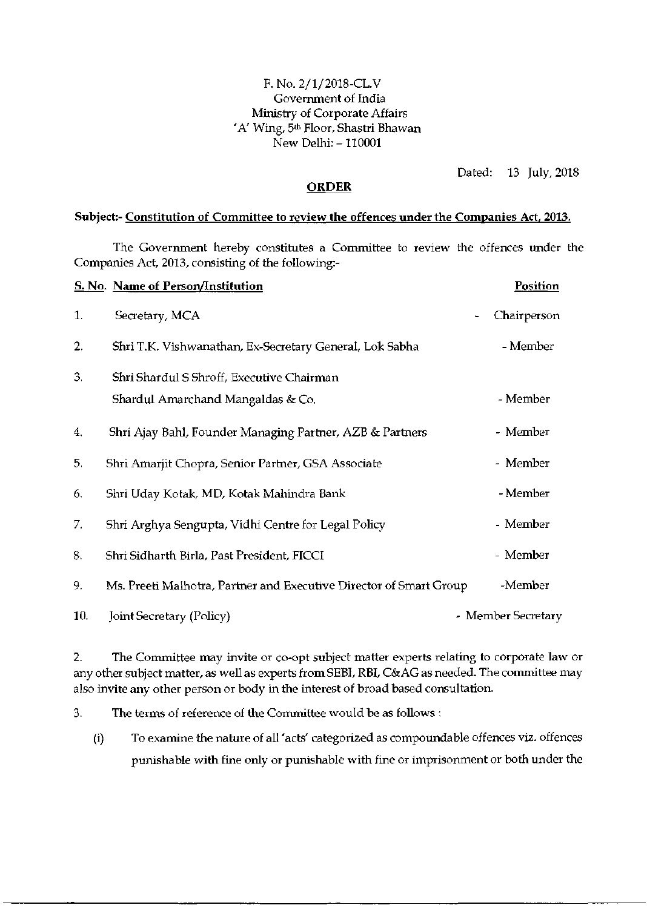## F. No. 2/1/2018-CL.V Government of India Ministry of Corporate Affairs 'A' Wing, 5<sup>th</sup> Floor, Shastri Bhawan New Delhi: -110001

Dated: 13 July, 2018

## **ORDER**

## Subject:- Constitution of Committee to review the offences under the Companies Act, 2013.

The Government hereby constitutes a Committee to review the offences under the Companies Act, 2013, consisting of the following:-

|     | <b>S. No. Name of Person/Institution</b>                           | <b>Position</b>                         |
|-----|--------------------------------------------------------------------|-----------------------------------------|
| 1.  | Secretary, MCA                                                     | Chairperson<br>$\overline{\phantom{a}}$ |
| 2.  | Shri T.K. Vishwanathan, Ex-Secretary General, Lok Sabha            | - Member                                |
| 3.  | Shri Shardul S Shroff, Executive Chairman                          |                                         |
|     | Shardul Amarchand Mangaldas & Co.                                  | - Member                                |
| 4.  | Shri Ajay Bahl, Founder Managing Partner, AZB & Partners           | - Member                                |
| 5.  | Shri Amarjit Chopra, Senior Partner, GSA Associate                 | - Member                                |
| 6.  | Shri Uday Kotak, MD, Kotak Mahindra Bank                           | - Member                                |
| 7.  | Shri Arghya Sengupta, Vidhi Centre for Legal Policy                | - Member                                |
| 8.  | Shri Sidharth Birla, Past President, FICCI                         | - Member                                |
| 9.  | Ms. Preeti Malhotra, Partner and Executive Director of Smart Group | -Member                                 |
| 10. | Joint Secretary (Policy)                                           | - Member Secretary                      |

2. The Committee may invite or co-opt subject matter experts relating to corporate law or any other subject matter, as well as experts from SEBI, RBI, C&AG as needed. The committee may also invite any other person or body in the interest of broad based consultation.

3. The terms of reference of the Committee would be as follows :

(i) To examine the nature of all 'acts' categorized as compoundable offences viz. offences punishable with fine only or punishable with fine or imprisonment or both under the